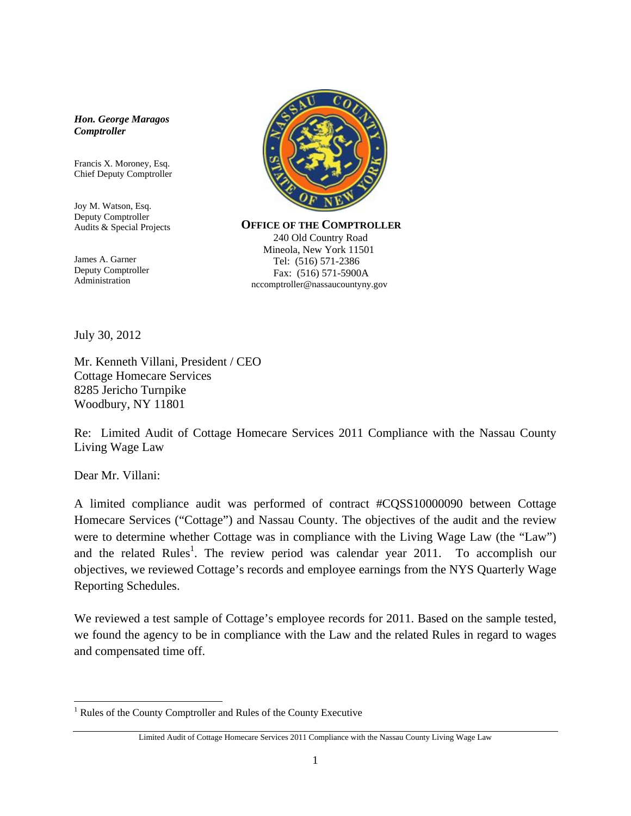## *Hon. George Maragos Comptroller*

Francis X. Moroney, Esq. Chief Deputy Comptroller

Joy M. Watson, Esq. Deputy Comptroller Audits & Special Projects

 James A. Garner Deputy Comptroller Administration



 **OFFICE OF THE COMPTROLLER** 240 Old Country Road Mineola, New York 11501 Tel: (516) 571-2386 Fax: (516) 571-5900A nccomptroller@nassaucountyny.gov

July 30, 2012

Mr. Kenneth Villani, President / CEO Cottage Homecare Services 8285 Jericho Turnpike Woodbury, NY 11801

Re: Limited Audit of Cottage Homecare Services 2011 Compliance with the Nassau County Living Wage Law

Dear Mr. Villani:

 $\overline{a}$ 

A limited compliance audit was performed of contract #CQSS10000090 between Cottage Homecare Services ("Cottage") and Nassau County. The objectives of the audit and the review were to determine whether Cottage was in compliance with the Living Wage Law (the "Law") and the related Rules<sup>1</sup>. The review period was calendar year 2011. To accomplish our objectives, we reviewed Cottage's records and employee earnings from the NYS Quarterly Wage Reporting Schedules.

We reviewed a test sample of Cottage's employee records for 2011. Based on the sample tested, we found the agency to be in compliance with the Law and the related Rules in regard to wages and compensated time off.

<sup>&</sup>lt;sup>1</sup> Rules of the County Comptroller and Rules of the County Executive

Limited Audit of Cottage Homecare Services 2011 Compliance with the Nassau County Living Wage Law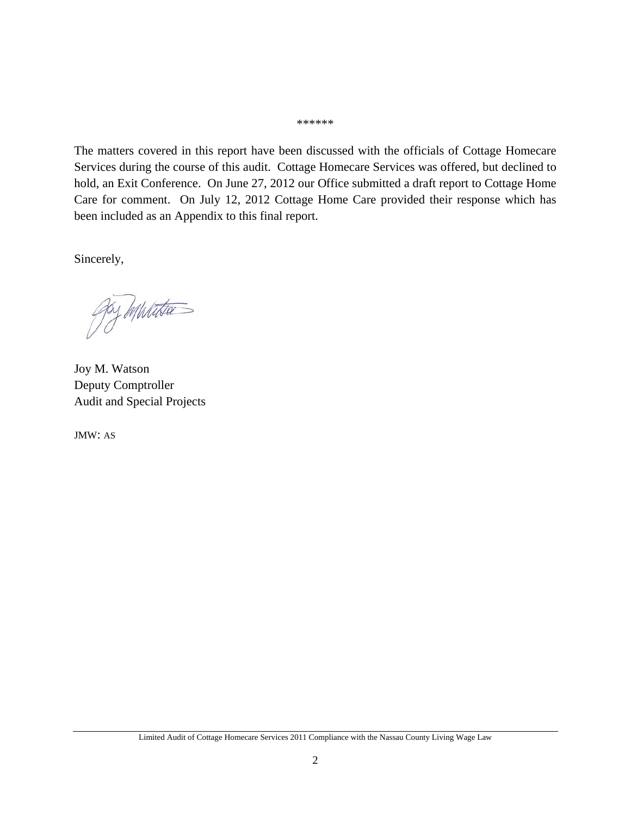## \*\*\*\*\*\*

The matters covered in this report have been discussed with the officials of Cottage Homecare Services during the course of this audit. Cottage Homecare Services was offered, but declined to hold, an Exit Conference. On June 27, 2012 our Office submitted a draft report to Cottage Home Care for comment. On July 12, 2012 Cottage Home Care provided their response which has been included as an Appendix to this final report.

Sincerely,

goy munta

Joy M. Watson Deputy Comptroller Audit and Special Projects

JMW: AS

Limited Audit of Cottage Homecare Services 2011 Compliance with the Nassau County Living Wage Law